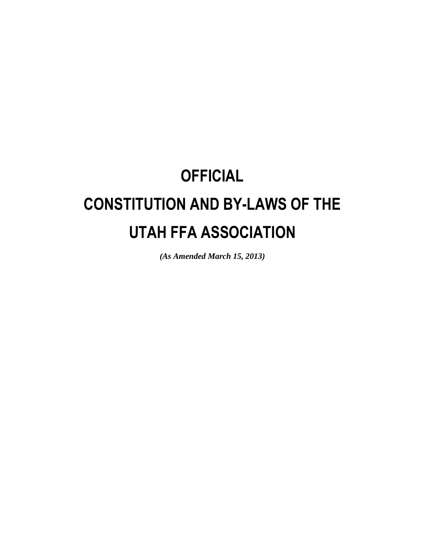# **OFFICIAL CONSTITUTION AND BY-LAWS OF THE UTAH FFA ASSOCIATION**

*(As Amended March 15, 2013)*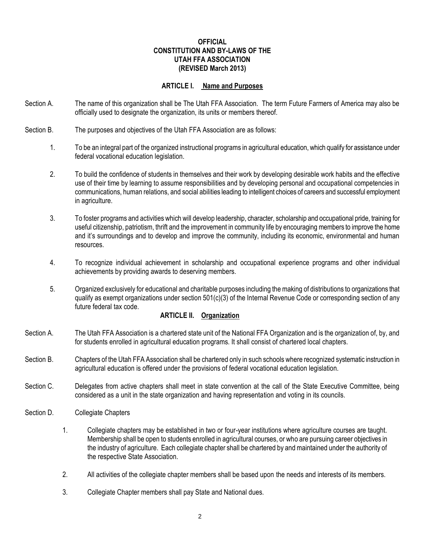#### **OFFICIAL CONSTITUTION AND BY-LAWS OF THE UTAH FFA ASSOCIATION (REVISED March 2013)**

### **ARTICLE I. Name and Purposes**

- Section A. The name of this organization shall be The Utah FFA Association. The term Future Farmers of America may also be officially used to designate the organization, its units or members thereof.
- Section B. The purposes and objectives of the Utah FFA Association are as follows:
	- 1. To be an integral part of the organized instructional programs in agricultural education, which qualify for assistance under federal vocational education legislation.
	- 2. To build the confidence of students in themselves and their work by developing desirable work habits and the effective use of their time by learning to assume responsibilities and by developing personal and occupational competencies in communications, human relations, and social abilities leading to intelligent choices of careers and successful employment in agriculture.
	- 3. To foster programs and activities which will develop leadership, character, scholarship and occupational pride, training for useful citizenship, patriotism, thrift and the improvement in community life by encouraging members to improve the home and it's surroundings and to develop and improve the community, including its economic, environmental and human resources.
	- 4. To recognize individual achievement in scholarship and occupational experience programs and other individual achievements by providing awards to deserving members.
	- 5. Organized exclusively for educational and charitable purposes including the making of distributions to organizations that qualify as exempt organizations under section 501(c)(3) of the Internal Revenue Code or corresponding section of any future federal tax code.

#### **ARTICLE II. Organization**

- Section A. The Utah FFA Association is a chartered state unit of the National FFA Organization and is the organization of, by, and for students enrolled in agricultural education programs. It shall consist of chartered local chapters.
- Section B. Chapters of the Utah FFA Association shall be chartered only in such schools where recognized systematic instruction in agricultural education is offered under the provisions of federal vocational education legislation.
- Section C. Delegates from active chapters shall meet in state convention at the call of the State Executive Committee, being considered as a unit in the state organization and having representation and voting in its councils.
- Section D. Collegiate Chapters
	- 1. Collegiate chapters may be established in two or four-year institutions where agriculture courses are taught. Membership shall be open to students enrolled in agricultural courses, or who are pursuing career objectives in the industry of agriculture. Each collegiate chapter shall be chartered by and maintained under the authority of the respective State Association.
	- 2. All activities of the collegiate chapter members shall be based upon the needs and interests of its members.
	- 3. Collegiate Chapter members shall pay State and National dues.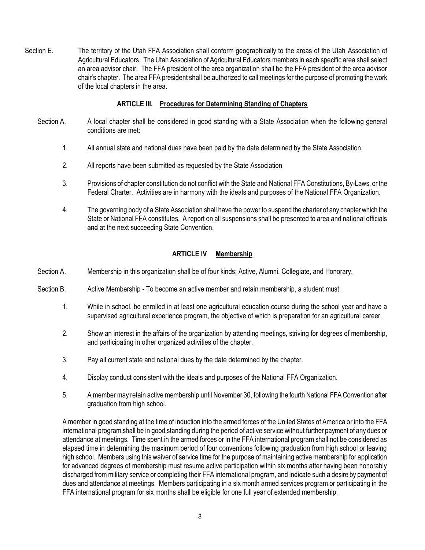Section E. The territory of the Utah FFA Association shall conform geographically to the areas of the Utah Association of Agricultural Educators. The Utah Association of Agricultural Educators members in each specific area shall select an area advisor chair. The FFA president of the area organization shall be the FFA president of the area advisor chair's chapter. The area FFA president shall be authorized to call meetings for the purpose of promoting the work of the local chapters in the area.

## **ARTICLE III. Procedures for Determining Standing of Chapters**

- Section A. A local chapter shall be considered in good standing with a State Association when the following general conditions are met:
	- 1. All annual state and national dues have been paid by the date determined by the State Association.
	- 2. All reports have been submitted as requested by the State Association
	- 3. Provisions of chapter constitution do not conflict with the State and National FFA Constitutions, By-Laws, or the Federal Charter. Activities are in harmony with the ideals and purposes of the National FFA Organization.
	- 4. The governing body of a State Association shall have the power to suspend the charter of any chapter which the State or National FFA constitutes. A report on all suspensions shall be presented to area and national officials and at the next succeeding State Convention.

# **ARTICLE IV Membership**

- Section A. Membership in this organization shall be of four kinds: Active, Alumni, Collegiate, and Honorary.
- Section B. Active Membership To become an active member and retain membership, a student must:
	- 1. While in school, be enrolled in at least one agricultural education course during the school year and have a supervised agricultural experience program, the objective of which is preparation for an agricultural career.
	- 2. Show an interest in the affairs of the organization by attending meetings, striving for degrees of membership, and participating in other organized activities of the chapter.
	- 3. Pay all current state and national dues by the date determined by the chapter.
	- 4. Display conduct consistent with the ideals and purposes of the National FFA Organization.
	- 5. A member may retain active membership until November 30, following the fourth National FFA Convention after graduation from high school.

A member in good standing at the time of induction into the armed forces of the United States of America or into the FFA international program shall be in good standing during the period of active service without further payment of any dues or attendance at meetings. Time spent in the armed forces or in the FFA international program shall not be considered as elapsed time in determining the maximum period of four conventions following graduation from high school or leaving high school. Members using this waiver of service time for the purpose of maintaining active membership for application for advanced degrees of membership must resume active participation within six months after having been honorably discharged from military service or completing their FFA international program, and indicate such a desire by payment of dues and attendance at meetings. Members participating in a six month armed services program or participating in the FFA international program for six months shall be eligible for one full year of extended membership.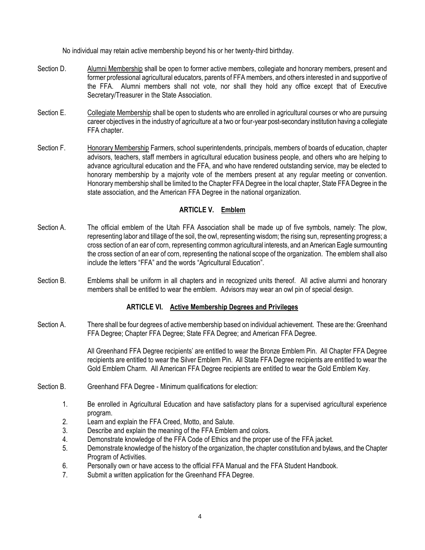No individual may retain active membership beyond his or her twenty-third birthday.

- Section D. Alumni Membership shall be open to former active members, collegiate and honorary members, present and former professional agricultural educators, parents of FFA members, and others interested in and supportive of the FFA. Alumni members shall not vote, nor shall they hold any office except that of Executive Secretary/Treasurer in the State Association.
- Section E. Collegiate Membership shall be open to students who are enrolled in agricultural courses or who are pursuing career objectives in the industry of agriculture at a two or four-year post-secondary institution having a collegiate FFA chapter.
- Section F. Honorary Membership Farmers, school superintendents, principals, members of boards of education, chapter advisors, teachers, staff members in agricultural education business people, and others who are helping to advance agricultural education and the FFA, and who have rendered outstanding service, may be elected to honorary membership by a majority vote of the members present at any regular meeting or convention. Honorary membership shall be limited to the Chapter FFA Degree in the local chapter, State FFA Degree in the state association, and the American FFA Degree in the national organization.

# **ARTICLE V. Emblem**

- Section A. The official emblem of the Utah FFA Association shall be made up of five symbols, namely: The plow, representing labor and tillage of the soil, the owl, representing wisdom; the rising sun, representing progress; a cross section of an ear of corn, representing common agricultural interests, and an American Eagle surmounting the cross section of an ear of corn, representing the national scope of the organization. The emblem shall also include the letters "FFA" and the words "Agricultural Education".
- Section B. Emblems shall be uniform in all chapters and in recognized units thereof. All active alumni and honorary members shall be entitled to wear the emblem. Advisors may wear an owl pin of special design.

# **ARTICLE VI. Active Membership Degrees and Privileges**

Section A. There shall be four degrees of active membership based on individual achievement. These are the: Greenhand FFA Degree; Chapter FFA Degree; State FFA Degree; and American FFA Degree.

> All Greenhand FFA Degree recipients' are entitled to wear the Bronze Emblem Pin. All Chapter FFA Degree recipients are entitled to wear the Silver Emblem Pin. All State FFA Degree recipients are entitled to wear the Gold Emblem Charm. All American FFA Degree recipients are entitled to wear the Gold Emblem Key.

- Section B. Greenhand FFA Degree Minimum qualifications for election:
	- 1. Be enrolled in Agricultural Education and have satisfactory plans for a supervised agricultural experience program.
	- 2. Learn and explain the FFA Creed, Motto, and Salute.
	- 3. Describe and explain the meaning of the FFA Emblem and colors.
	- 4. Demonstrate knowledge of the FFA Code of Ethics and the proper use of the FFA jacket.
	- 5. Demonstrate knowledge of the history of the organization, the chapter constitution and bylaws, and the Chapter Program of Activities.
	- 6. Personally own or have access to the official FFA Manual and the FFA Student Handbook.
	- 7. Submit a written application for the Greenhand FFA Degree.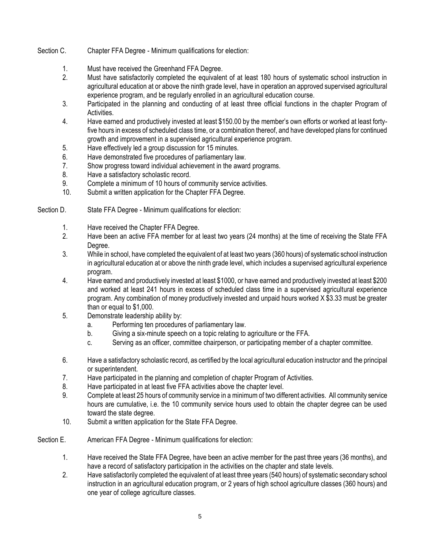- Section C. Chapter FFA Degree Minimum qualifications for election:
	- 1. Must have received the Greenhand FFA Degree.
	- 2. Must have satisfactorily completed the equivalent of at least 180 hours of systematic school instruction in agricultural education at or above the ninth grade level, have in operation an approved supervised agricultural experience program, and be regularly enrolled in an agricultural education course.
	- 3. Participated in the planning and conducting of at least three official functions in the chapter Program of Activities.
	- 4. Have earned and productively invested at least \$150.00 by the member's own efforts or worked at least fortyfive hours in excess of scheduled class time, or a combination thereof, and have developed plans for continued growth and improvement in a supervised agricultural experience program.
	- 5. Have effectively led a group discussion for 15 minutes.
	- 6. Have demonstrated five procedures of parliamentary law.
	- 7. Show progress toward individual achievement in the award programs.
	- 8. Have a satisfactory scholastic record.
	- 9. Complete a minimum of 10 hours of community service activities.
	- 10. Submit a written application for the Chapter FFA Degree.
- Section D. State FFA Degree Minimum qualifications for election:
	- 1. Have received the Chapter FFA Degree.
	- 2. Have been an active FFA member for at least two years (24 months) at the time of receiving the State FFA Degree.
	- 3. While in school, have completed the equivalent of at least two years (360 hours) of systematic school instruction in agricultural education at or above the ninth grade level, which includes a supervised agricultural experience program.
	- 4. Have earned and productively invested at least \$1000, or have earned and productively invested at least \$200 and worked at least 241 hours in excess of scheduled class time in a supervised agricultural experience program. Any combination of money productively invested and unpaid hours worked X \$3.33 must be greater than or equal to \$1,000.
	- 5. Demonstrate leadership ability by:
		- a. Performing ten procedures of parliamentary law.
		- b. Giving a six-minute speech on a topic relating to agriculture or the FFA.
		- c. Serving as an officer, committee chairperson, or participating member of a chapter committee.
	- 6. Have a satisfactory scholastic record, as certified by the local agricultural education instructor and the principal or superintendent.
	- 7. Have participated in the planning and completion of chapter Program of Activities.
	- 8. Have participated in at least five FFA activities above the chapter level.
	- 9. Complete at least 25 hours of community service in a minimum of two different activities. All community service hours are cumulative, i.e. the 10 community service hours used to obtain the chapter degree can be used toward the state degree.
	- 10. Submit a written application for the State FFA Degree.
- Section E. American FFA Degree Minimum qualifications for election:
	- 1. Have received the State FFA Degree, have been an active member for the past three years (36 months), and have a record of satisfactory participation in the activities on the chapter and state levels.
	- 2. Have satisfactorily completed the equivalent of at least three years (540 hours) of systematic secondary school instruction in an agricultural education program, or 2 years of high school agriculture classes (360 hours) and one year of college agriculture classes.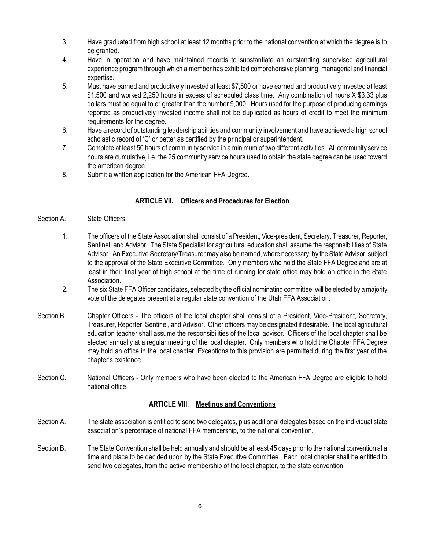- 3. Have graduated from high school at least 12 months prior to the national convention at which the degree is to be granted.
- 4. Have in operation and have maintained records to substantiate an outstanding supervised agricultural experience program through which a member has exhibited comprehensive planning, managerial and financial expertise.
- 5. Must have earned and productively invested at least \$7,500 or have earned and productively invested at least \$1,500 and worked 2,250 hours in excess of scheduled class time. Any combination of hours X \$3.33 plus dollars must be equal to or greater than the number 9,000. Hours used for the purpose of producing earnings reported as productively invested income shall not be duplicated as hours of credit to meet the minimum requirements for the degree.
- 6. Have a record of outstanding leadership abilities and community involvement and have achieved a high school scholastic record of 'C' or better as certified by the principal or superintendent.
- 7. Complete at least 50 hours of community service in a minimum of two different activities. All community service hours are cumulative, i.e. the 25 community service hours used to obtain the state degree can be used toward the american degree.
- 8. Submit a written application for the American FFA Degree.

# **ARTICLE VII. Officers and Procedures for Election**

#### Section A. State Officers

- 1. The officers of the State Association shall consist of a President, Vice-president, Secretary, Treasurer, Reporter, Sentinel, and Advisor. The State Specialist for agricultural education shall assume the responsibilities of State Advisor. An Executive Secretary/Treasurer may also be named, where necessary, by the State Advisor, subject to the approval of the State Executive Committee. Only members who hold the State FFA Degree and are at least in their final year of high school at the time of running for state office may hold an office in the State Association.
- 2. The six State FFA Officer candidates, selected by the official nominating committee, will be elected by a majority vote of the delegates present at a regular state convention of the Utah FFA Association.
- Section B. Chapter Officers The officers of the local chapter shall consist of a President, Vice-President, Secretary, Treasurer, Reporter, Sentinel, and Advisor. Other officers may be designated if desirable. The local agricultural education teacher shall assume the responsibilities of the local advisor. Officers of the local chapter shall be elected annually at a regular meeting of the local chapter. Only members who hold the Chapter FFA Degree may hold an office in the local chapter. Exceptions to this provision are permitted during the first year of the chapter's existence.
- Section C. National Officers Only members who have been elected to the American FFA Degree are eligible to hold national office.

#### **ARTICLE VIII. Meetings and Conventions**

- Section A. The state association is entitled to send two delegates, plus additional delegates based on the individual state association's percentage of national FFA membership, to the national convention.
- Section B. The State Convention shall be held annually and should be at least 45 days prior to the national convention at a time and place to be decided upon by the State Executive Committee. Each local chapter shall be entitled to send two delegates, from the active membership of the local chapter, to the state convention.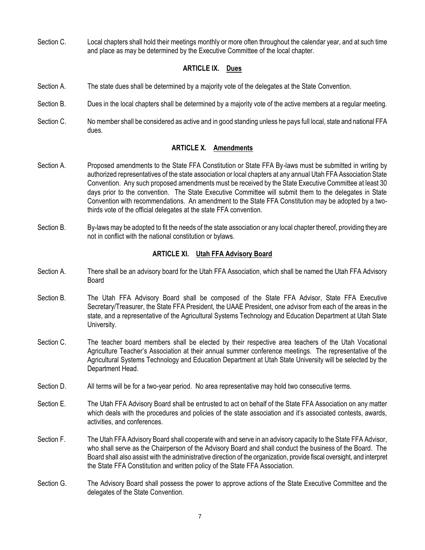Section C. Local chapters shall hold their meetings monthly or more often throughout the calendar year, and at such time and place as may be determined by the Executive Committee of the local chapter.

# **ARTICLE IX. Dues**

- Section A. The state dues shall be determined by a majority vote of the delegates at the State Convention.
- Section B. Dues in the local chapters shall be determined by a majority vote of the active members at a regular meeting.
- Section C. No member shall be considered as active and in good standing unless he pays full local, state and national FFA dues.

## **ARTICLE X. Amendments**

- Section A. Proposed amendments to the State FFA Constitution or State FFA By-laws must be submitted in writing by authorized representatives of the state association or local chapters at any annual Utah FFA Association State Convention. Any such proposed amendments must be received by the State Executive Committee at least 30 days prior to the convention. The State Executive Committee will submit them to the delegates in State Convention with recommendations. An amendment to the State FFA Constitution may be adopted by a twothirds vote of the official delegates at the state FFA convention.
- Section B. By-laws may be adopted to fit the needs of the state association or any local chapter thereof, providing they are not in conflict with the national constitution or bylaws.

## **ARTICLE XI. Utah FFA Advisory Board**

- Section A. There shall be an advisory board for the Utah FFA Association, which shall be named the Utah FFA Advisory Board
- Section B. The Utah FFA Advisory Board shall be composed of the State FFA Advisor, State FFA Executive Secretary/Treasurer, the State FFA President, the UAAE President, one advisor from each of the areas in the state, and a representative of the Agricultural Systems Technology and Education Department at Utah State University.
- Section C. The teacher board members shall be elected by their respective area teachers of the Utah Vocational Agriculture Teacher's Association at their annual summer conference meetings. The representative of the Agricultural Systems Technology and Education Department at Utah State University will be selected by the Department Head.
- Section D. All terms will be for a two-year period. No area representative may hold two consecutive terms.
- Section E. The Utah FFA Advisory Board shall be entrusted to act on behalf of the State FFA Association on any matter which deals with the procedures and policies of the state association and it's associated contests, awards, activities, and conferences.
- Section F. The Utah FFA Advisory Board shall cooperate with and serve in an advisory capacity to the State FFA Advisor, who shall serve as the Chairperson of the Advisory Board and shall conduct the business of the Board. The Board shall also assist with the administrative direction of the organization, provide fiscal oversight, and interpret the State FFA Constitution and written policy of the State FFA Association.
- Section G. The Advisory Board shall possess the power to approve actions of the State Executive Committee and the delegates of the State Convention.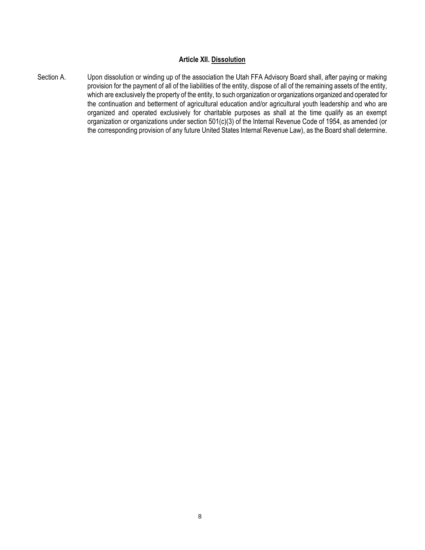#### **Article XII. Dissolution**

Section A. Upon dissolution or winding up of the association the Utah FFA Advisory Board shall, after paying or making provision for the payment of all of the liabilities of the entity, dispose of all of the remaining assets of the entity, which are exclusively the property of the entity, to such organization or organizations organized and operated for the continuation and betterment of agricultural education and/or agricultural youth leadership and who are organized and operated exclusively for charitable purposes as shall at the time qualify as an exempt organization or organizations under section 501(c)(3) of the Internal Revenue Code of 1954, as amended (or the corresponding provision of any future United States Internal Revenue Law), as the Board shall determine.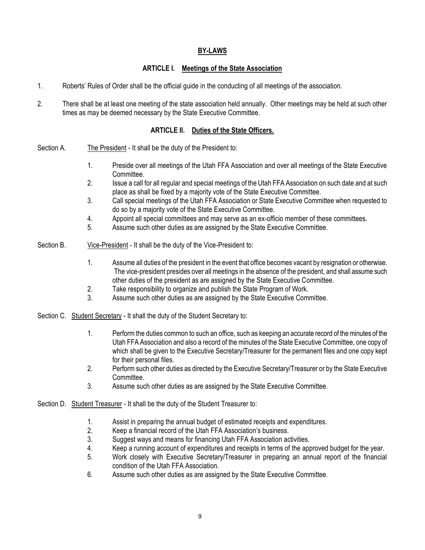# **BY-LAWS**

## **ARTICLE I. Meetings of the State Association**

- 1. Roberts' Rules of Order shall be the official guide in the conducting of all meetings of the association.
- 2. There shall be at least one meeting of the state association held annually. Other meetings may be held at such other times as may be deemed necessary by the State Executive Committee.

# **ARTICLE II. Duties of the State Officers.**

- Section A. The President It shall be the duty of the President to:
	- 1. Preside over all meetings of the Utah FFA Association and over all meetings of the State Executive Committee.
	- 2. Issue a call for all regular and special meetings of the Utah FFA Association on such date and at such place as shall be fixed by a majority vote of the State Executive Committee.
	- 3. Call special meetings of the Utah FFA Association or State Executive Committee when requested to do so by a majority vote of the State Executive Committee.
	- 4. Appoint all special committees and may serve as an ex-officio member of these committees.
	- 5. Assume such other duties as are assigned by the State Executive Committee.
- Section B. Vice-President It shall be the duty of the Vice-President to:
	- 1. Assume all duties of the president in the event that office becomes vacant by resignation or otherwise. The vice-president presides over all meetings in the absence of the president, and shall assume such other duties of the president as are assigned by the State Executive Committee.
	- 2. Take responsibility to organize and publish the State Program of Work.
	- 3. Assume such other duties as are assigned by the State Executive Committee.
- Section C. Student Secretary It shall the duty of the Student Secretary to:
	- 1. Perform the duties common to such an office, such as keeping an accurate record of the minutes of the Utah FFA Association and also a record of the minutes of the State Executive Committee, one copy of which shall be given to the Executive Secretary/Treasurer for the permanent files and one copy kept for their personal files.
	- 2. Perform such other duties as directed by the Executive Secretary/Treasurer or by the State Executive Committee.
	- 3. Assume such other duties as are assigned by the State Executive Committee.
- Section D. Student Treasurer It shall be the duty of the Student Treasurer to:
	- 1. Assist in preparing the annual budget of estimated receipts and expenditures.
	- 2. Keep a financial record of the Utah FFA Association's business.
	- 3. Suggest ways and means for financing Utah FFA Association activities.
	- 4. Keep a running account of expenditures and receipts in terms of the approved budget for the year.
	- 5. Work closely with Executive Secretary/Treasurer in preparing an annual report of the financial condition of the Utah FFA Association.
	- 6. Assume such other duties as are assigned by the State Executive Committee.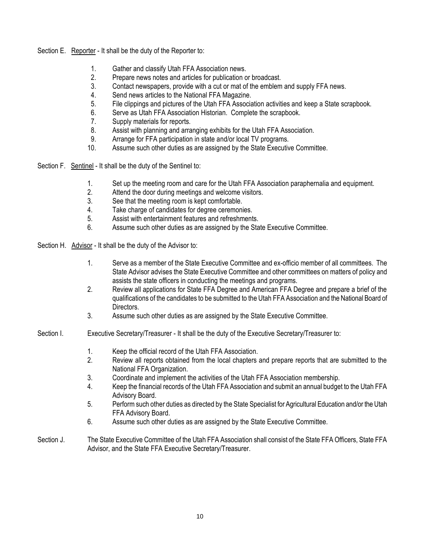Section E. Reporter - It shall be the duty of the Reporter to:

- 1. Gather and classify Utah FFA Association news.
- 2. Prepare news notes and articles for publication or broadcast.
- 3. Contact newspapers, provide with a cut or mat of the emblem and supply FFA news.
- 4. Send news articles to the National FFA Magazine.
- 5. File clippings and pictures of the Utah FFA Association activities and keep a State scrapbook.
- 6. Serve as Utah FFA Association Historian. Complete the scrapbook.
- 7. Supply materials for reports.
- 8. Assist with planning and arranging exhibits for the Utah FFA Association.
- 9. Arrange for FFA participation in state and/or local TV programs.
- 10. Assume such other duties as are assigned by the State Executive Committee.

Section F. Sentinel - It shall be the duty of the Sentinel to:

- 1. Set up the meeting room and care for the Utah FFA Association paraphernalia and equipment.
- 2. Attend the door during meetings and welcome visitors.
- 3. See that the meeting room is kept comfortable.
- 4. Take charge of candidates for degree ceremonies.
- 5. Assist with entertainment features and refreshments.
- 6. Assume such other duties as are assigned by the State Executive Committee.

Section H. Advisor - It shall be the duty of the Advisor to:

- 1. Serve as a member of the State Executive Committee and ex-officio member of all committees. The State Advisor advises the State Executive Committee and other committees on matters of policy and assists the state officers in conducting the meetings and programs.
- 2. Review all applications for State FFA Degree and American FFA Degree and prepare a brief of the qualifications of the candidates to be submitted to the Utah FFA Association and the National Board of Directors.
- 3. Assume such other duties as are assigned by the State Executive Committee.
- Section I. Executive Secretary/Treasurer It shall be the duty of the Executive Secretary/Treasurer to:
	- 1. Keep the official record of the Utah FFA Association.
	- 2. Review all reports obtained from the local chapters and prepare reports that are submitted to the National FFA Organization.
	- 3. Coordinate and implement the activities of the Utah FFA Association membership.
	- 4. Keep the financial records of the Utah FFA Association and submit an annual budget to the Utah FFA Advisory Board.
	- 5. Perform such other duties as directed by the State Specialist for Agricultural Education and/or the Utah FFA Advisory Board.
	- 6. Assume such other duties as are assigned by the State Executive Committee.
- Section J. The State Executive Committee of the Utah FFA Association shall consist of the State FFA Officers, State FFA Advisor, and the State FFA Executive Secretary/Treasurer.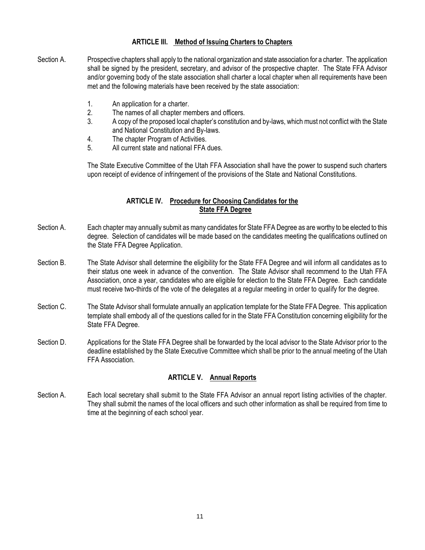## **ARTICLE III. Method of Issuing Charters to Chapters**

- Section A. Prospective chapters shall apply to the national organization and state association for a charter. The application shall be signed by the president, secretary, and advisor of the prospective chapter. The State FFA Advisor and/or governing body of the state association shall charter a local chapter when all requirements have been met and the following materials have been received by the state association:
	- 1. An application for a charter.
	- 2. The names of all chapter members and officers.
	- 3. A copy of the proposed local chapter's constitution and by-laws, which must not conflict with the State and National Constitution and By-laws.
	- 4. The chapter Program of Activities.
	- 5. All current state and national FFA dues.

The State Executive Committee of the Utah FFA Association shall have the power to suspend such charters upon receipt of evidence of infringement of the provisions of the State and National Constitutions.

# **ARTICLE IV. Procedure for Choosing Candidates for the State FFA Degree**

- Section A. Each chapter may annually submit as many candidates for State FFA Degree as are worthy to be elected to this degree. Selection of candidates will be made based on the candidates meeting the qualifications outlined on the State FFA Degree Application.
- Section B. The State Advisor shall determine the eligibility for the State FFA Degree and will inform all candidates as to their status one week in advance of the convention. The State Advisor shall recommend to the Utah FFA Association, once a year, candidates who are eligible for election to the State FFA Degree. Each candidate must receive two-thirds of the vote of the delegates at a regular meeting in order to qualify for the degree.
- Section C. The State Advisor shall formulate annually an application template for the State FFA Degree. This application template shall embody all of the questions called for in the State FFA Constitution concerning eligibility for the State FFA Degree.
- Section D. Applications for the State FFA Degree shall be forwarded by the local advisor to the State Advisor prior to the deadline established by the State Executive Committee which shall be prior to the annual meeting of the Utah FFA Association.

# **ARTICLE V. Annual Reports**

Section A. Each local secretary shall submit to the State FFA Advisor an annual report listing activities of the chapter. They shall submit the names of the local officers and such other information as shall be required from time to time at the beginning of each school year.